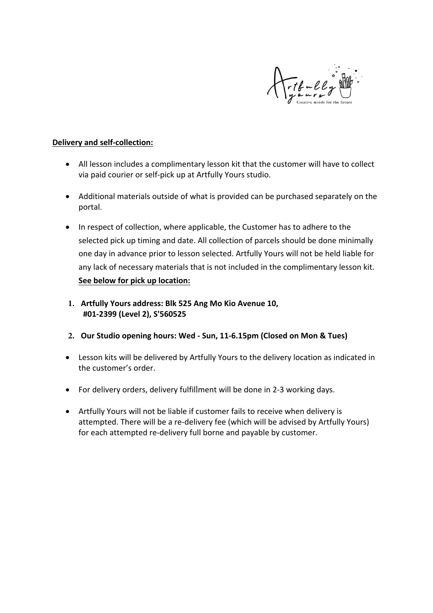

### **Delivery and self-collection:**

- All lesson includes a complimentary lesson kit that the customer will have to collect via paid courier or self-pick up at Artfully Yours studio.
- Additional materials outside of what is provided can be purchased separately on the portal.
- In respect of collection, where applicable, the Customer has to adhere to the selected pick up timing and date. All collection of parcels should be done minimally one day in advance prior to lesson selected. Artfully Yours will not be held liable for any lack of necessary materials that is not included in the complimentary lesson kit. **See below for pick up location:**
- **1. Artfully Yours address: Blk 525 Ang Mo Kio Avenue 10, #01-2399 (Level 2), S'560525**
- **2. Our Studio opening hours: Wed Sun, 11-6.15pm (Closed on Mon & Tues)**
- Lesson kits will be delivered by Artfully Yours to the delivery location as indicated in the customer's order.
- For delivery orders, delivery fulfillment will be done in 2-3 working days.
- Artfully Yours will not be liable if customer fails to receive when delivery is attempted. There will be a re-delivery fee (which will be advised by Artfully Yours) for each attempted re-delivery full borne and payable by customer.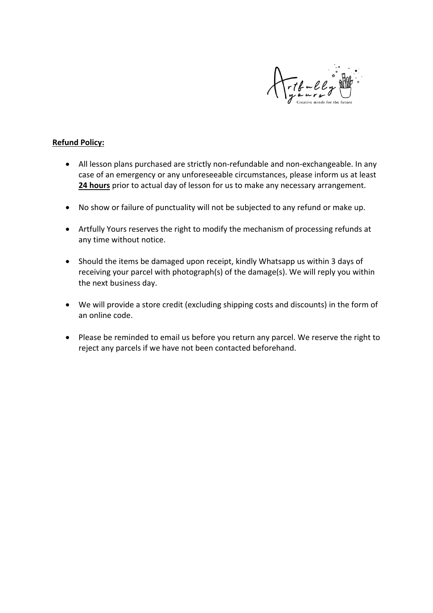

# **Refund Policy:**

- All lesson plans purchased are strictly non-refundable and non-exchangeable. In any case of an emergency or any unforeseeable circumstances, please inform us at least **24 hours** prior to actual day of lesson for us to make any necessary arrangement.
- No show or failure of punctuality will not be subjected to any refund or make up.
- Artfully Yours reserves the right to modify the mechanism of processing refunds at any time without notice.
- Should the items be damaged upon receipt, kindly Whatsapp us within 3 days of receiving your parcel with photograph(s) of the damage(s). We will reply you within the next business day.
- We will provide a store credit (excluding shipping costs and discounts) in the form of an online code.
- Please be reminded to email us before you return any parcel. We reserve the right to reject any parcels if we have not been contacted beforehand.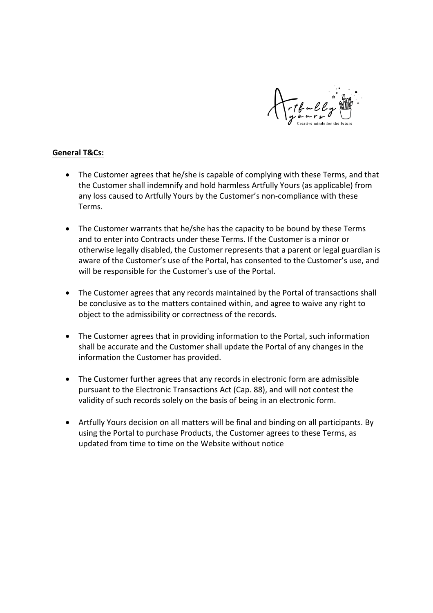

## **General T&Cs:**

- The Customer agrees that he/she is capable of complying with these Terms, and that the Customer shall indemnify and hold harmless Artfully Yours (as applicable) from any loss caused to Artfully Yours by the Customer's non-compliance with these Terms.
- The Customer warrants that he/she has the capacity to be bound by these Terms and to enter into Contracts under these Terms. If the Customer is a minor or otherwise legally disabled, the Customer represents that a parent or legal guardian is aware of the Customer's use of the Portal, has consented to the Customer's use, and will be responsible for the Customer's use of the Portal.
- The Customer agrees that any records maintained by the Portal of transactions shall be conclusive as to the matters contained within, and agree to waive any right to object to the admissibility or correctness of the records.
- The Customer agrees that in providing information to the Portal, such information shall be accurate and the Customer shall update the Portal of any changes in the information the Customer has provided.
- The Customer further agrees that any records in electronic form are admissible pursuant to the Electronic Transactions Act (Cap. 88), and will not contest the validity of such records solely on the basis of being in an electronic form.
- Artfully Yours decision on all matters will be final and binding on all participants. By using the Portal to purchase Products, the Customer agrees to these Terms, as updated from time to time on the Website without notice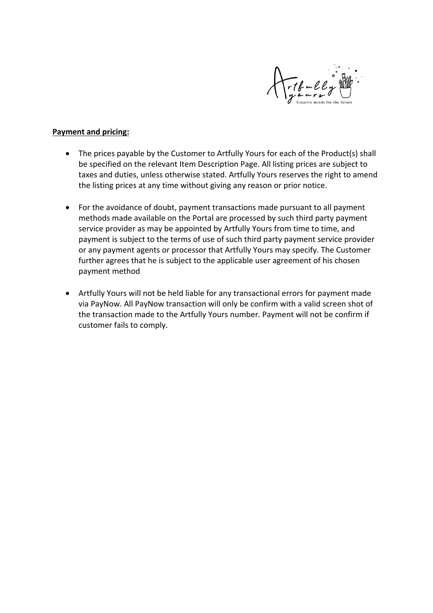

#### **Payment and pricing:**

- The prices payable by the Customer to Artfully Yours for each of the Product(s) shall be specified on the relevant Item Description Page. All listing prices are subject to taxes and duties, unless otherwise stated. Artfully Yours reserves the right to amend the listing prices at any time without giving any reason or prior notice.
- For the avoidance of doubt, payment transactions made pursuant to all payment methods made available on the Portal are processed by such third party payment service provider as may be appointed by Artfully Yours from time to time, and payment is subject to the terms of use of such third party payment service provider or any payment agents or processor that Artfully Yours may specify. The Customer further agrees that he is subject to the applicable user agreement of his chosen payment method
- Artfully Yours will not be held liable for any transactional errors for payment made via PayNow. All PayNow transaction will only be confirm with a valid screen shot of the transaction made to the Artfully Yours number. Payment will not be confirm if customer fails to comply.